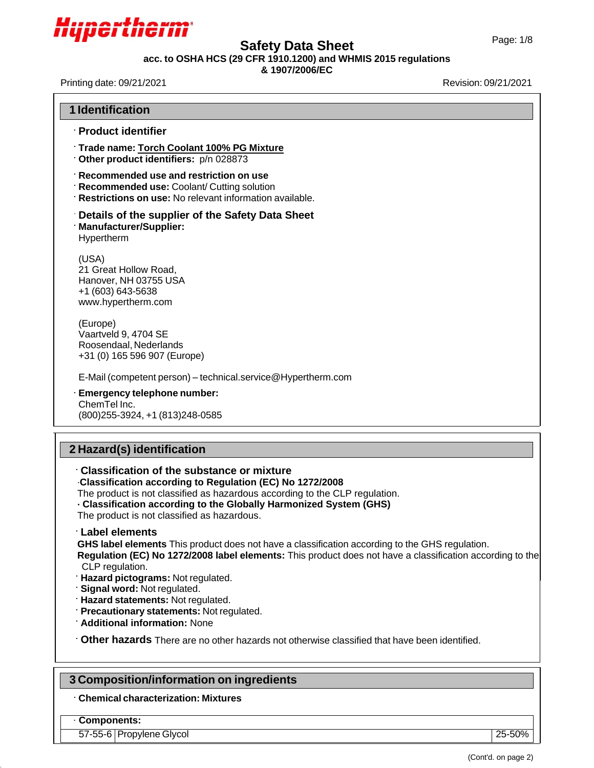

# Page: 1/8 **Safety Data Sheet**

**acc. to OSHA HCS (29 CFR 1910.1200) and WHMIS 2015 regulations**

### **& 1907/2006/EC**

Printing date: 09/21/2021 **Revision: 09/21/2021** 

| <b>1 Identification</b>                                                                                                                                                                                                                                                                                                                                                                                                                       |
|-----------------------------------------------------------------------------------------------------------------------------------------------------------------------------------------------------------------------------------------------------------------------------------------------------------------------------------------------------------------------------------------------------------------------------------------------|
| <b>Product identifier</b>                                                                                                                                                                                                                                                                                                                                                                                                                     |
| Trade name: Torch Coolant 100% PG Mixture<br>Other product identifiers: p/n 028873                                                                                                                                                                                                                                                                                                                                                            |
| Recommended use and restriction on use<br><b>Recommended use: Coolant/ Cutting solution</b><br>Restrictions on use: No relevant information available.                                                                                                                                                                                                                                                                                        |
| Details of the supplier of the Safety Data Sheet<br><b>Manufacturer/Supplier:</b><br>Hypertherm                                                                                                                                                                                                                                                                                                                                               |
| (USA)<br>21 Great Hollow Road,<br>Hanover, NH 03755 USA<br>+1 (603) 643-5638<br>www.hypertherm.com                                                                                                                                                                                                                                                                                                                                            |
| (Europe)<br>Vaartveld 9, 4704 SE<br>Roosendaal, Nederlands<br>+31 (0) 165 596 907 (Europe)                                                                                                                                                                                                                                                                                                                                                    |
| E-Mail (competent person) - technical.service@Hypertherm.com                                                                                                                                                                                                                                                                                                                                                                                  |
| Emergency telephone number:<br>ChemTel Inc.<br>(800) 255-3924, +1 (813) 248-0585                                                                                                                                                                                                                                                                                                                                                              |
| 2 Hazard(s) identification                                                                                                                                                                                                                                                                                                                                                                                                                    |
| Classification of the substance or mixture<br>Classification according to Regulation (EC) No 1272/2008<br>The product is not classified as hazardous according to the CLP regulation.<br>· Classification according to the Globally Harmonized System (GHS)<br>The product is not classified as hazardous.                                                                                                                                    |
| Label elements<br>GHS label elements This product does not have a classification according to the GHS regulation.<br>Regulation (EC) No 1272/2008 label elements: This product does not have a classification according to the<br>CLP regulation.<br>Hazard pictograms: Not regulated.<br>Signal word: Not regulated.<br>Hazard statements: Not regulated.<br>Precautionary statements: Not regulated.<br><b>Additional information: None</b> |
| Other hazards There are no other hazards not otherwise classified that have been identified.                                                                                                                                                                                                                                                                                                                                                  |
| 3 Composition/information on ingredients                                                                                                                                                                                                                                                                                                                                                                                                      |
| <b>Chemical characterization: Mixtures</b>                                                                                                                                                                                                                                                                                                                                                                                                    |
|                                                                                                                                                                                                                                                                                                                                                                                                                                               |

57-55-6 Propylene Glycol 25-50%

(Cont'd. on page 2)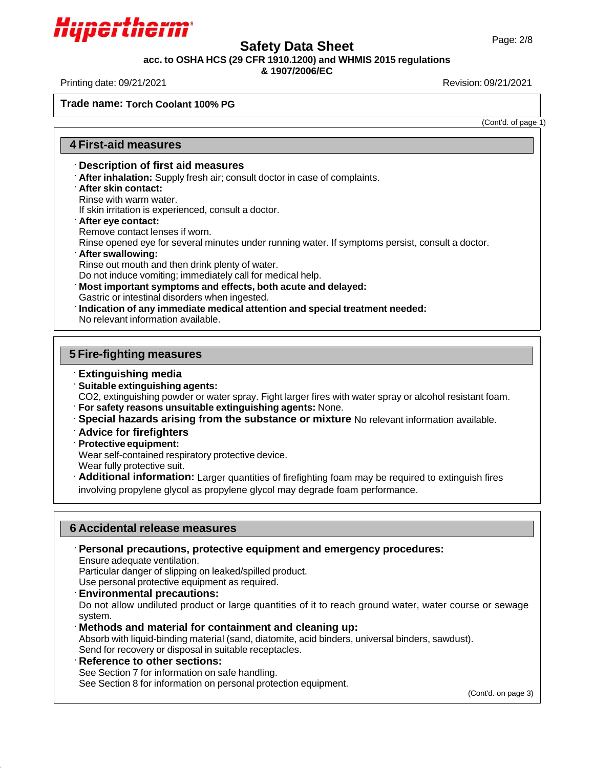

## Page: 2/8 **Safety Data Sheet**

**acc. to OSHA HCS (29 CFR 1910.1200) and WHMIS 2015 regulations**

#### **& 1907/2006/EC**

Printing date: 09/21/2021 Revision: 09/21/2021

**Mixture**

**Trade name: Torch Coolant 100% PG**

(Cont'd. of page 1)

### **4 First-aid measures**

#### **Description of first aid measures**

- **After inhalation:** Supply fresh air; consult doctor in case of complaints.
- **After skin contact:**

Rinse with warm water.

If skin irritation is experienced, consult a doctor.

**After eye contact:**

Remove contact lenses if worn.

Rinse opened eye for several minutes under running water. If symptoms persist, consult a doctor.

**After swallowing:**

Rinse out mouth and then drink plenty of water.

Do not induce vomiting; immediately call for medical help.

**Most important symptoms and effects, both acute and delayed:**

Gastric or intestinal disorders when ingested.

**Indication of any immediate medical attention and special treatment needed:**

No relevant information available.

### **5 Fire-fighting measures**

### **Extinguishing media**

**Suitable extinguishing agents:**

CO2, extinguishing powder or water spray. Fight larger fires with water spray or alcohol resistant foam.

**For safety reasons unsuitable extinguishing agents:** None.

**Special hazards arising from the substance or mixture** No relevant information available.

- **Advice for firefighters**
- **Protective equipment:**

Wear self-contained respiratory protective device.

Wear fully protective suit.

**Additional information:** Larger quantities of firefighting foam may be required to extinguish fires involving propylene glycol as propylene glycol may degrade foam performance.

### **6 Accidental release measures**

**Personal precautions, protective equipment and emergency procedures:**

Ensure adequate ventilation.

Particular danger of slipping on leaked/spilled product.

Use personal protective equipment as required.

**Environmental precautions:**

Do not allow undiluted product or large quantities of it to reach ground water, water course or sewage system.

**Methods and material for containment and cleaning up:**

Absorb with liquid-binding material (sand, diatomite, acid binders, universal binders, sawdust). Send for recovery or disposal in suitable receptacles.

**Reference to other sections:**

See Section 7 for information on safe handling.

See Section 8 for information on personal protection equipment.

(Cont'd. on page 3)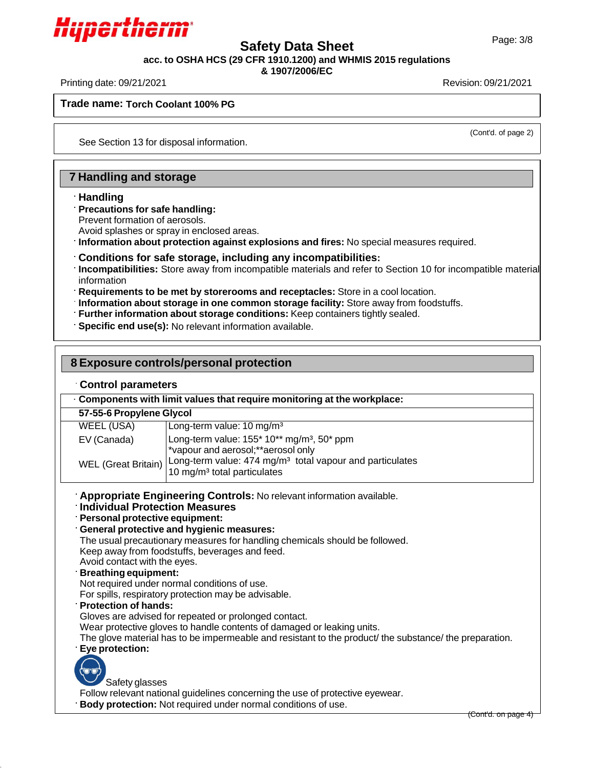

# Page: 3/8 **Safety Data Sheet**

**acc. to OSHA HCS (29 CFR 1910.1200) and WHMIS 2015 regulations**

**& 1907/2006/EC**

Printing date: 09/21/2021 Revision: 09/21/2021

**Trade name: Torch Coolant 100% PG**

(Cont'd. of page 2)

See Section 13 for disposal information.

### **7 Handling and storage**

#### **Handling**

**Mixture**

#### **Precautions for safe handling:**

Prevent formation of aerosols.

Avoid splashes or spray in enclosed areas.

**Information about protection against explosions and fires:** No special measures required.

#### **Conditions for safe storage, including any incompatibilities:**

**Incompatibilities:** Store away from incompatible materials and refer to Section 10 for incompatible material information

**Requirements to be met by storerooms and receptacles:** Store in a cool location.

**Information about storage in one common storage facility:** Store away from foodstuffs.

**Further information about storage conditions:** Keep containers tightly sealed.

**Specific end use(s):** No relevant information available.

| 8 Exposure controls/personal protection                                                                                                                                                                    |                                                                                                                                                                                                                                                                                                                                                                                                                                                                                                                                                                                                                                                                                                                                                                                |  |  |  |
|------------------------------------------------------------------------------------------------------------------------------------------------------------------------------------------------------------|--------------------------------------------------------------------------------------------------------------------------------------------------------------------------------------------------------------------------------------------------------------------------------------------------------------------------------------------------------------------------------------------------------------------------------------------------------------------------------------------------------------------------------------------------------------------------------------------------------------------------------------------------------------------------------------------------------------------------------------------------------------------------------|--|--|--|
| <b>Control parameters</b>                                                                                                                                                                                  |                                                                                                                                                                                                                                                                                                                                                                                                                                                                                                                                                                                                                                                                                                                                                                                |  |  |  |
| Components with limit values that require monitoring at the workplace:                                                                                                                                     |                                                                                                                                                                                                                                                                                                                                                                                                                                                                                                                                                                                                                                                                                                                                                                                |  |  |  |
| 57-55-6 Propylene Glycol                                                                                                                                                                                   |                                                                                                                                                                                                                                                                                                                                                                                                                                                                                                                                                                                                                                                                                                                                                                                |  |  |  |
| <b>WEEL (USA)</b>                                                                                                                                                                                          | Long-term value: 10 mg/m <sup>3</sup>                                                                                                                                                                                                                                                                                                                                                                                                                                                                                                                                                                                                                                                                                                                                          |  |  |  |
| EV (Canada)                                                                                                                                                                                                | Long-term value: 155* 10** mg/m <sup>3</sup> , 50* ppm<br>*vapour and aerosol; ** aerosol only                                                                                                                                                                                                                                                                                                                                                                                                                                                                                                                                                                                                                                                                                 |  |  |  |
| <b>WEL</b> (Great Britain)                                                                                                                                                                                 | Long-term value: 474 mg/m <sup>3</sup> total vapour and particulates<br>10 mg/m <sup>3</sup> total particulates                                                                                                                                                                                                                                                                                                                                                                                                                                                                                                                                                                                                                                                                |  |  |  |
| <b>Individual Protection Measures</b><br>Personal protective equipment:<br>Avoid contact with the eyes.<br><b>Breathing equipment:</b><br><b>Protection of hands:</b><br>Eye protection:<br>Safety glasses | Appropriate Engineering Controls: No relevant information available.<br>General protective and hygienic measures:<br>The usual precautionary measures for handling chemicals should be followed.<br>Keep away from foodstuffs, beverages and feed.<br>Not required under normal conditions of use.<br>For spills, respiratory protection may be advisable.<br>Gloves are advised for repeated or prolonged contact.<br>Wear protective gloves to handle contents of damaged or leaking units.<br>The glove material has to be impermeable and resistant to the product the substance the preparation.<br>Follow relevant national guidelines concerning the use of protective eyewear.<br>Body protection: Not required under normal conditions of use.<br>(Cont'd. on page 4) |  |  |  |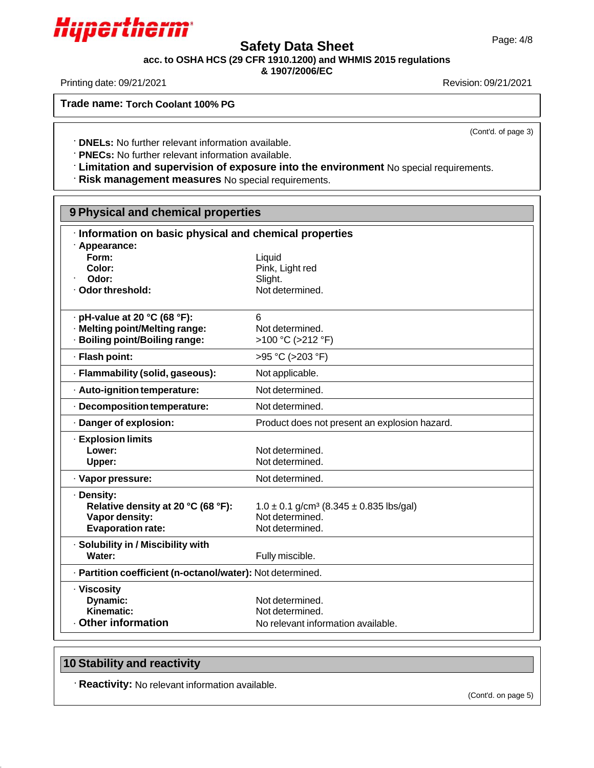# Page: 4/8 **Safety Data Sheet**

**acc. to OSHA HCS (29 CFR 1910.1200) and WHMIS 2015 regulations**

**& 1907/2006/EC**

Printing date: 09/21/2021 Revision: 09/21/2021

**Mixture**

**Trade name: Torch Coolant 100% PG**

(Cont'd. of page 3)

**DNELs:** No further relevant information available.

**PNECs:** No further relevant information available.

**Limitation and supervision of exposure into the environment** No special requirements.

**Risk management measures** No special requirements.

| 9 Physical and chemical properties                                     |                                                             |  |
|------------------------------------------------------------------------|-------------------------------------------------------------|--|
| Information on basic physical and chemical properties<br>· Appearance: |                                                             |  |
| Form:                                                                  | Liquid                                                      |  |
| Color:                                                                 | Pink, Light red                                             |  |
| Odor:                                                                  | Slight.                                                     |  |
| · Odor threshold:                                                      | Not determined.                                             |  |
|                                                                        |                                                             |  |
| $\cdot$ pH-value at 20 °C (68 °F):                                     | 6                                                           |  |
| · Melting point/Melting range:                                         | Not determined.                                             |  |
| <b>Boiling point/Boiling range:</b>                                    | >100 °C (>212 °F)                                           |  |
| · Flash point:                                                         | >95 °C (>203 °F)                                            |  |
| · Flammability (solid, gaseous):                                       | Not applicable.                                             |  |
| · Auto-ignition temperature:                                           | Not determined.                                             |  |
| · Decomposition temperature:                                           | Not determined.                                             |  |
| · Danger of explosion:                                                 | Product does not present an explosion hazard.               |  |
| <b>Explosion limits</b>                                                |                                                             |  |
| Lower:                                                                 | Not determined.                                             |  |
| Upper:                                                                 | Not determined.                                             |  |
| · Vapor pressure:                                                      | Not determined.                                             |  |
| · Density:                                                             |                                                             |  |
| Relative density at 20 °C (68 °F):                                     | $1.0 \pm 0.1$ g/cm <sup>3</sup> (8.345 $\pm$ 0.835 lbs/gal) |  |
| Vapor density:                                                         | Not determined.                                             |  |
| <b>Evaporation rate:</b>                                               | Not determined.                                             |  |
| · Solubility in / Miscibility with                                     |                                                             |  |
| Water:                                                                 | Fully miscible.                                             |  |
| · Partition coefficient (n-octanol/water): Not determined.             |                                                             |  |
| · Viscosity                                                            |                                                             |  |
| Dynamic:                                                               | Not determined.                                             |  |
| Kinematic:                                                             | Not determined.                                             |  |
| Other information                                                      | No relevant information available.                          |  |

### **10 Stability and reactivity**

**Reactivity:** No relevant information available.

(Cont'd. on page 5)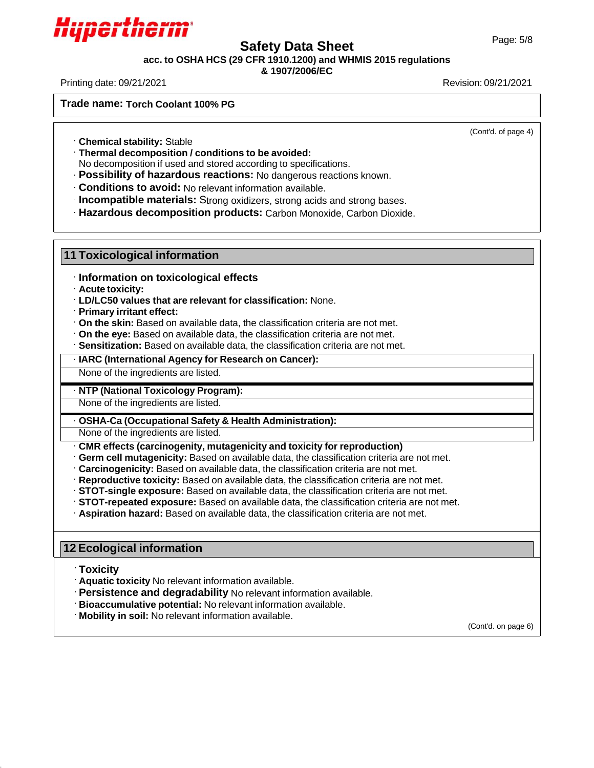

# Page: 5/8 **Safety Data Sheet**

**acc. to OSHA HCS (29 CFR 1910.1200) and WHMIS 2015 regulations**

### **& 1907/2006/EC**

Printing date: 09/21/2021 Revision: 09/21/2021

**Mixture**

**Trade name: Torch Coolant 100% PG**

(Cont'd. of page 4)

**Chemical stability:** Stable

**Thermal decomposition / conditions to be avoided:**

No decomposition if used and stored according to specifications.

**Possibility of hazardous reactions:** No dangerous reactions known.

**Conditions to avoid:** No relevant information available.

**Incompatible materials:** Strong oxidizers, strong acids and strong bases.

**Hazardous decomposition products:** Carbon Monoxide, Carbon Dioxide.

### **11 Toxicological information**

· **Information on toxicological effects**

· **Acute toxicity:**

· **LD/LC50 values that are relevant for classification:** None.

· **Primary irritant effect:**

· **On the skin:** Based on available data, the classification criteria are not met.

- · **On the eye:** Based on available data, the classification criteria are not met.
- · **Sensitization:** Based on available data, the classification criteria are not met.

· **IARC (International Agency for Research on Cancer):**

None of the ingredients are listed.

#### · **NTP (National Toxicology Program):**

None of the ingredients are listed.

### · **OSHA-Ca (Occupational Safety & Health Administration):**

None of the ingredients are listed.

- · **CMR effects (carcinogenity, mutagenicity and toxicity for reproduction)**
- · **Germ cell mutagenicity:** Based on available data, the classification criteria are not met.
- · **Carcinogenicity:** Based on available data, the classification criteria are not met.
- · **Reproductive toxicity:** Based on available data, the classification criteria are not met.
- · **STOT-single exposure:** Based on available data, the classification criteria are not met.
- · **STOT-repeated exposure:** Based on available data, the classification criteria are not met.
- · **Aspiration hazard:** Based on available data, the classification criteria are not met.

### **12 Ecological information**

### **Toxicity**

**Aquatic toxicity** No relevant information available.

**Persistence and degradability** No relevant information available.

**Bioaccumulative potential:** No relevant information available.

**Mobility in soil:** No relevant information available.

(Cont'd. on page 6)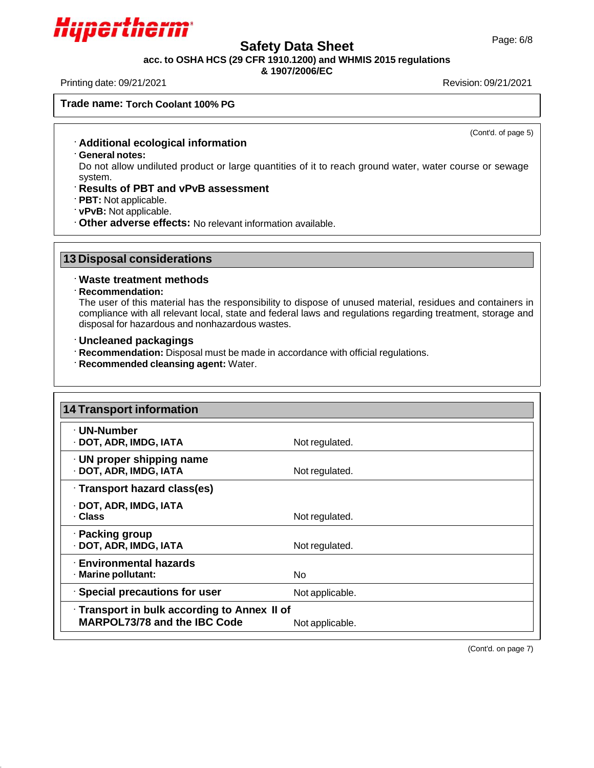

## Page: 6/8 **Safety Data Sheet**

**acc. to OSHA HCS (29 CFR 1910.1200) and WHMIS 2015 regulations**

**& 1907/2006/EC**

Printing date: 09/21/2021 Revision: 09/21/2021

**Trade name: Torch Coolant 100% PG**

(Cont'd. of page 5)

- **Additional ecological information**
- **General notes:**

**Mixture**

Do not allow undiluted product or large quantities of it to reach ground water, water course or sewage system.

- **Results of PBT and vPvB assessment**
- **PBT:** Not applicable.
- **vPvB:** Not applicable.
- **Other adverse effects:** No relevant information available.

### **13 Disposal considerations**

### **Waste treatment methods**

#### **Recommendation:**

The user of this material has the responsibility to dispose of unused material, residues and containers in compliance with all relevant local, state and federal laws and regulations regarding treatment, storage and disposal for hazardous and nonhazardous wastes.

- **Uncleaned packagings**
- **Recommendation:** Disposal must be made in accordance with official regulations.
- **Recommended cleansing agent:** Water.

| 14 Transport information                                                     |                 |
|------------------------------------------------------------------------------|-----------------|
| · UN-Number<br>· DOT, ADR, IMDG, IATA                                        | Not regulated.  |
| $\cdot$ UN proper shipping name<br>· DOT, ADR, IMDG, IATA                    | Not regulated.  |
| · Transport hazard class(es)                                                 |                 |
| · DOT, ADR, IMDG, IATA<br>· Class                                            | Not regulated.  |
| · Packing group<br>· DOT, ADR, IMDG, IATA                                    | Not regulated.  |
| <b>Environmental hazards</b><br>· Marine pollutant:                          | No.             |
| · Special precautions for user                                               | Not applicable. |
| · Transport in bulk according to Annex II of<br>MARPOL73/78 and the IBC Code | Not applicable. |

(Cont'd. on page 7)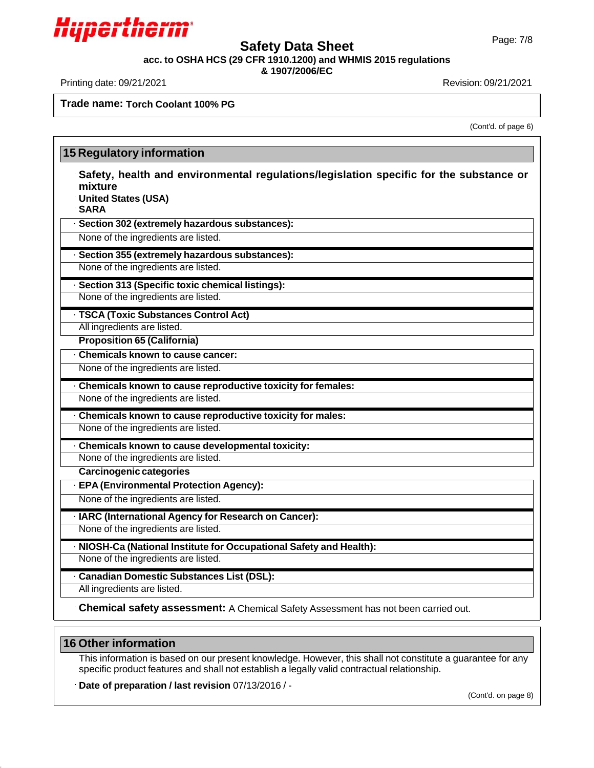

# Page: 7/8 **Safety Data Sheet**

**acc. to OSHA HCS (29 CFR 1910.1200) and WHMIS 2015 regulations**

**& 1907/2006/EC**

Printing date: 09/21/2021 Revision: 09/21/2021

**Mixture**

**Trade name: Torch Coolant 100% PG**

(Cont'd. of page 6)

| mixture<br><b>United States (USA)</b><br><b>SARA</b> | Safety, health and environmental regulations/legislation specific for the substance or |
|------------------------------------------------------|----------------------------------------------------------------------------------------|
|                                                      | · Section 302 (extremely hazardous substances):                                        |
|                                                      | None of the ingredients are listed.                                                    |
|                                                      | · Section 355 (extremely hazardous substances):                                        |
|                                                      | None of the ingredients are listed.                                                    |
|                                                      | · Section 313 (Specific toxic chemical listings):                                      |
|                                                      | None of the ingredients are listed.                                                    |
|                                                      | · TSCA (Toxic Substances Control Act)                                                  |
| All ingredients are listed.                          |                                                                                        |
| Proposition 65 (California)                          |                                                                                        |
|                                                      | . Chemicals known to cause cancer:                                                     |
|                                                      | None of the ingredients are listed.                                                    |
|                                                      | · Chemicals known to cause reproductive toxicity for females:                          |
|                                                      | None of the ingredients are listed.                                                    |
|                                                      | · Chemicals known to cause reproductive toxicity for males:                            |
|                                                      | None of the ingredients are listed.                                                    |
|                                                      | · Chemicals known to cause developmental toxicity:                                     |
|                                                      | None of the ingredients are listed.                                                    |
| Carcinogenic categories                              |                                                                                        |
|                                                      | · EPA (Environmental Protection Agency):                                               |
|                                                      | None of the ingredients are listed.                                                    |
|                                                      | · IARC (International Agency for Research on Cancer):                                  |
|                                                      | None of the ingredients are listed.                                                    |
|                                                      | · NIOSH-Ca (National Institute for Occupational Safety and Health):                    |
|                                                      | None of the ingredients are listed.                                                    |
|                                                      | · Canadian Domestic Substances List (DSL):                                             |
| All ingredients are listed.                          |                                                                                        |

### **16 Other information**

This information is based on our present knowledge. However, this shall not constitute a guarantee for any specific product features and shall not establish a legally valid contractual relationship.

**Date of preparation / last revision** 07/13/2016 / -

(Cont'd. on page 8)